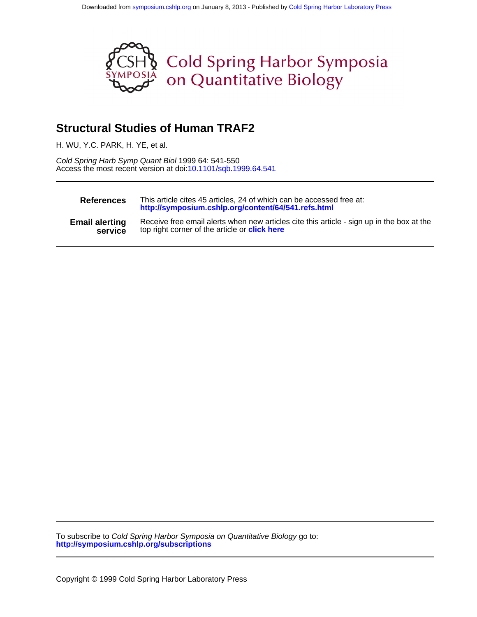

# **Structural Studies of Human TRAF2**

H. WU, Y.C. PARK, H. YE, et al.

Access the most recent version at doi[:10.1101/sqb.1999.64.541](http://symposium.cshlp.org/lookup/doi/10.1101/sqb.1999.64.541) Cold Spring Harb Symp Quant Biol 1999 64: 541-550

| <b>References</b>     | This article cites 45 articles, 24 of which can be accessed free at:<br>http://symposium.cshlp.org/content/64/541.refs.html |
|-----------------------|-----------------------------------------------------------------------------------------------------------------------------|
| <b>Email alerting</b> | Receive free email alerts when new articles cite this article - sign up in the box at the                                   |
| service               | top right corner of the article or <b>click here</b>                                                                        |

**<http://symposium.cshlp.org/subscriptions>** To subscribe to Cold Spring Harbor Symposia on Quantitative Biology go to: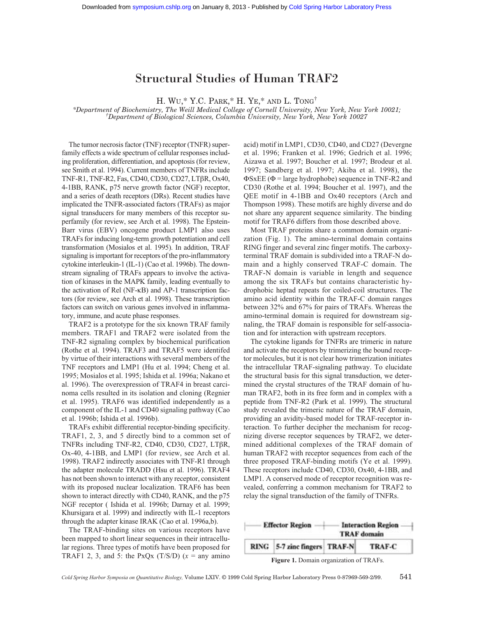# Structural Studies of Human TRAF2

H. WU,\* Y.C. PARK,\* H. YE,\* AND L. TONG†

*\*Department of Biochemistry, The Weill Medical College of Cornell University, New York, New York 10021; † Department of Biological Sciences, Columbia University, New York, New York 10027*

The tumor necrosis factor (TNF) receptor (TNFR) superfamily effects a wide spectrum of cellular responses including proliferation, differentiation, and apoptosis (for review, see Smith et al. 1994). Current members of TNFRs include TNF-R1, TNF-R2, Fas, CD40, CD30, CD27, LTβR, Ox40, 4-1BB, RANK, p75 nerve growth factor (NGF) receptor, and a series of death receptors (DRs). Recent studies have implicated the TNFR-associated factors (TRAFs) as major signal transducers for many members of this receptor superfamily (for review, see Arch et al. 1998). The Epstein-Barr virus (EBV) oncogene product LMP1 also uses TRAFs for inducing long-term growth potentiation and cell transformation (Mosialos et al. 1995). In addition, TRAF signaling is important for receptors of the pro-inflammatory cytokine interleukin-1 (IL-1) (Cao et al. 1996b). The downstream signaling of TRAFs appears to involve the activation of kinases in the MAPK family, leading eventually to the activation of Rel (NF-κB) and AP-1 transcription factors (for review, see Arch et al. 1998). These transcription factors can switch on various genes involved in inflammatory, immune, and acute phase responses.

TRAF2 is a prototype for the six known TRAF family members. TRAF1 and TRAF2 were isolated from the TNF-R2 signaling complex by biochemical purification (Rothe et al. 1994). TRAF3 and TRAF5 were identifed by virtue of their interactions with several members of the TNF receptors and LMP1 (Hu et al. 1994; Cheng et al. 1995; Mosialos et al. 1995; Ishida et al. 1996a; Nakano et al. 1996). The overexpression of TRAF4 in breast carcinoma cells resulted in its isolation and cloning (Regnier et al. 1995). TRAF6 was identified independently as a component of the IL-1 and CD40 signaling pathway (Cao et al. 1996b; Ishida et al. 1996b).

TRAFs exhibit differential receptor-binding specificity. TRAF1, 2, 3, and 5 directly bind to a common set of TNFRs including TNF-R2, CD40, CD30, CD27, LTβR, Ox-40, 4-1BB, and LMP1 (for review, see Arch et al. 1998). TRAF2 indirectly associates with TNF-R1 through the adapter molecule TRADD (Hsu et al. 1996). TRAF4 has not been shown to interact with any receptor, consistent with its proposed nuclear localization. TRAF6 has been shown to interact directly with CD40, RANK, and the p75 NGF receptor ( Ishida et al. 1996b; Darnay et al. 1999; Khursigara et al. 1999) and indirectly with IL-1 receptors through the adapter kinase IRAK (Cao et al. 1996a,b).

The TRAF-binding sites on various receptors have been mapped to short linear sequences in their intracellular regions. Three types of motifs have been proposed for TRAF1 2, 3, and 5: the PxQx  $(T/S/D)$   $(x = \text{any amino})$  acid) motif in LMP1, CD30, CD40, and CD27 (Devergne et al. 1996; Franken et al. 1996; Gedrich et al. 1996; Aizawa et al. 1997; Boucher et al. 1997; Brodeur et al. 1997; Sandberg et al. 1997; Akiba et al. 1998), the  $\Phi$ SxEE ( $\Phi$  = large hydrophobe) sequence in TNF-R2 and CD30 (Rothe et al. 1994; Boucher et al. 1997), and the QEE motif in 4-1BB and Ox40 receptors (Arch and Thompson 1998). These motifs are highly diverse and do not share any apparent sequence similarity. The binding motif for TRAF6 differs from those described above.

Most TRAF proteins share a common domain organization (Fig. 1). The amino-terminal domain contains RING finger and several zinc finger motifs. The carboxyterminal TRAF domain is subdivided into a TRAF-N domain and a highly conserved TRAF-C domain. The TRAF-N domain is variable in length and sequence among the six TRAFs but contains characteristic hydrophobic heptad repeats for coiled-coil structures. The amino acid identity within the TRAF-C domain ranges between 32% and 67% for pairs of TRAFs. Whereas the amino-terminal domain is required for downstream signaling, the TRAF domain is responsible for self-association and for interaction with upstream receptors.

The cytokine ligands for TNFRs are trimeric in nature and activate the receptors by trimerizing the bound receptor molecules, but it is not clear how trimerization initiates the intracellular TRAF-signaling pathway. To elucidate the structural basis for this signal transduction, we determined the crystal structures of the TRAF domain of human TRAF2, both in its free form and in complex with a peptide from TNF-R2 (Park et al. 1999). The structural study revealed the trimeric nature of the TRAF domain, providing an avidity-based model for TRAF-receptor interaction. To further decipher the mechanism for recognizing diverse receptor sequences by TRAF2, we determined additional complexes of the TRAF domain of human TRAF2 with receptor sequences from each of the three proposed TRAF-binding motifs (Ye et al. 1999). These receptors include CD40, CD30, Ox40, 4-1BB, and LMP1. A conserved mode of receptor recognition was revealed, conferring a common mechanism for TRAF2 to relay the signal transduction of the family of TNFRs.



**Figure 1.** Domain organization of TRAFs.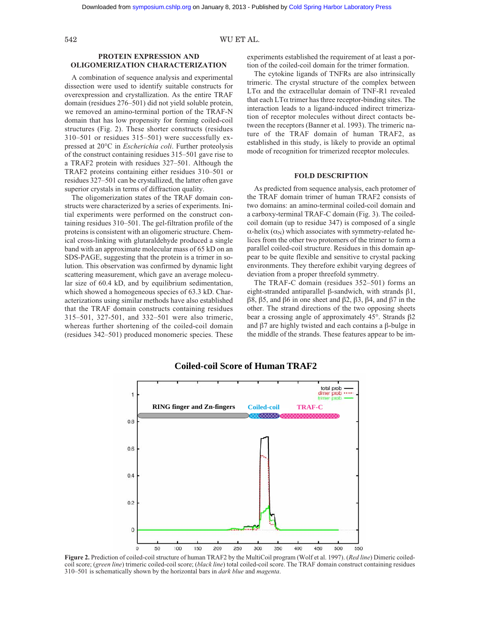## 542 WU ET AL.

# **PROTEIN EXPRESSION AND OLIGOMERIZATION CHARACTERIZATION**

A combination of sequence analysis and experimental dissection were used to identify suitable constructs for overexpression and crystallization. As the entire TRAF domain (residues 276–501) did not yield soluble protein, we removed an amino-terminal portion of the TRAF-N domain that has low propensity for forming coiled-coil structures (Fig. 2). These shorter constructs (residues 310–501 or residues 315–501) were successfully expressed at 20°C in *Escherichia coli*. Further proteolysis of the construct containing residues 315–501 gave rise to a TRAF2 protein with residues 327–501. Although the TRAF2 proteins containing either residues 310–501 or residues 327–501 can be crystallized, the latter often gave superior crystals in terms of diffraction quality.

The oligomerization states of the TRAF domain constructs were characterized by a series of experiments. Initial experiments were performed on the construct containing residues 310–501. The gel-filtration profile of the proteins is consistent with an oligomeric structure. Chemical cross-linking with glutaraldehyde produced a single band with an approximate molecular mass of 65 kD on an SDS-PAGE, suggesting that the protein is a trimer in solution. This observation was confirmed by dynamic light scattering measurement, which gave an average molecular size of 60.4 kD, and by equilibrium sedimentation, which showed a homogeneous species of 63.3 kD. Characterizations using similar methods have also established that the TRAF domain constructs containing residues 315–501, 327-501, and 332–501 were also trimeric, whereas further shortening of the coiled-coil domain (residues 342–501) produced monomeric species. These

experiments established the requirement of at least a portion of the coiled-coil domain for the trimer formation.

The cytokine ligands of TNFRs are also intrinsically trimeric. The crystal structure of the complex between LTα and the extracellular domain of TNF-R1 revealed that each  $LT\alpha$  trimer has three receptor-binding sites. The interaction leads to a ligand-induced indirect trimerization of receptor molecules without direct contacts between the receptors (Banner et al. 1993). The trimeric nature of the TRAF domain of human TRAF2, as established in this study, is likely to provide an optimal mode of recognition for trimerized receptor molecules.

# **FOLD DESCRIPTION**

As predicted from sequence analysis, each protomer of the TRAF domain trimer of human TRAF2 consists of two domains: an amino-terminal coiled-coil domain and a carboxy-terminal TRAF-C domain (Fig. 3). The coiledcoil domain (up to residue 347) is composed of a single  $\alpha$ -helix ( $\alpha_N$ ) which associates with symmetry-related helices from the other two protomers of the trimer to form a parallel coiled-coil structure. Residues in this domain appear to be quite flexible and sensitive to crystal packing environments. They therefore exhibit varying degrees of deviation from a proper threefold symmetry.

The TRAF-C domain (residues 352–501) forms an eight-stranded antiparallel β-sandwich, with strands β1, β8, β5, and β6 in one sheet and β2, β3, β4, and β7 in the other. The strand directions of the two opposing sheets bear a crossing angle of approximately 45°. Strands β2 and β7 are highly twisted and each contains a β-bulge in the middle of the strands. These features appear to be im-



# **Coiled-coil Score of Human TRAF2**

**Figure 2.** Prediction of coiled-coil structure of human TRAF2 by the MultiCoil program (Wolf et al. 1997). (*Red line*) Dimeric coiledcoil score; (*green line*) trimeric coiled-coil score; (*black line*) total coiled-coil score. The TRAF domain construct containing residues 310–501 is schematically shown by the horizontal bars in *dark blue* and *magenta*.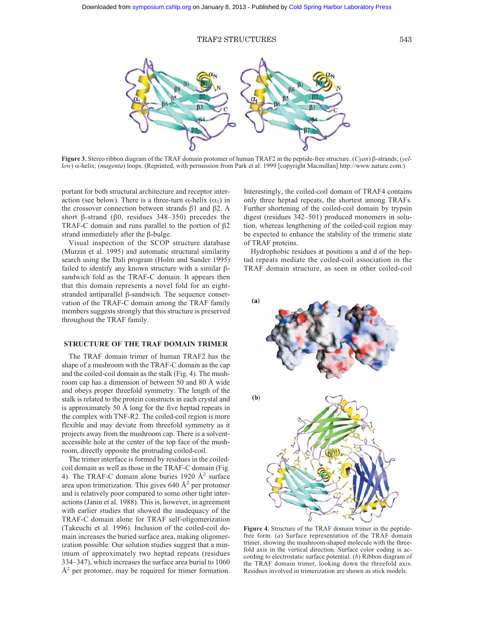

**Figure 3.** Stereo ribbon diagram of the TRAF domain protomer of human TRAF2 in the peptide-free structure. (*Cyan*) β-strands; (*yellow*) α-helix; (*magenta*) loops. (Reprinted, with permission from Park et al. 1999 [copyright Macmillan] http://www.nature.com.)

portant for both structural architecture and receptor interaction (see below). There is a three-turn  $\alpha$ -helix  $(\alpha_1)$  in the crossover connection between strands β1 and β2. A short β-strand (β0, residues 348–350) precedes the TRAF-C domain and runs parallel to the portion of β2 strand immediately after the β-bulge.

Visual inspection of the SCOP structure database (Murzin et al. 1995) and automatic structural similarity search using the Dali program (Holm and Sander 1995) failed to identify any known structure with a similar βsandwich fold as the TRAF-C domain. It appears then that this domain represents a novel fold for an eightstranded antiparallel β-sandwich. The sequence conservation of the TRAF-C domain among the TRAF family members suggests strongly that this structure is preserved throughout the TRAF family.

# **STRUCTURE OF THE TRAF DOMAIN TRIMER**

The TRAF domain trimer of human TRAF2 has the shape of a mushroom with the TRAF-C domain as the cap and the coiled-coil domain as the stalk (Fig. 4). The mushroom cap has a dimension of between 50 and 80 Å wide and obeys proper threefold symmetry. The length of the stalk is related to the protein constructs in each crystal and is approximately 50 Å long for the five heptad repeats in the complex with TNF-R2. The coiled-coil region is more flexible and may deviate from threefold symmetry as it projects away from the mushroom cap. There is a solventaccessible hole at the center of the top face of the mushroom, directly opposite the protruding coiled-coil.

The trimer interface is formed by residues in the coiledcoil domain as well as those in the TRAF-C domain (Fig. 4). The TRAF-C domain alone buries 1920  $\AA^2$  surface area upon trimerization. This gives  $640 \text{ Å}^2$  per protomer and is relatively poor compared to some other tight interactions (Janin et al. 1988). This is, however, in agreement with earlier studies that showed the inadequacy of the TRAF-C domain alone for TRAF self-oligomerization (Takeuchi et al. 1996). Inclusion of the coiled-coil domain increases the buried surface area, making oligomerization possible. Our solution studies suggest that a minimum of approximately two heptad repeats (residues 334–347), which increases the surface area burial to 1060  $A<sup>2</sup>$  per protomer, may be required for trimer formation. Interestingly, the coiled-coil domain of TRAF4 contains only three heptad repeats, the shortest among TRAFs. Further shortening of the coiled-coil domain by trypsin digest (residues 342–501) produced monomers in solution, whereas lengthening of the coiled-coil region may be expected to enhance the stability of the trimeric state of TRAF proteins.

Hydrophobic residues at positions a and d of the heptad repeats mediate the coiled-coil association in the TRAF domain structure, as seen in other coiled-coil



**Figure 4.** Structure of the TRAF domain trimer in the peptidefree form. (*a*) Surface representation of the TRAF domain trimer, showing the mushroom-shaped molecule with the threefold axis in the vertical direction. Surface color coding is according to electrostatic surface potential. (*b*) Ribbon diagram of the TRAF domain trimer, looking down the threefold axis. Residues involved in trimerization are shown as stick models.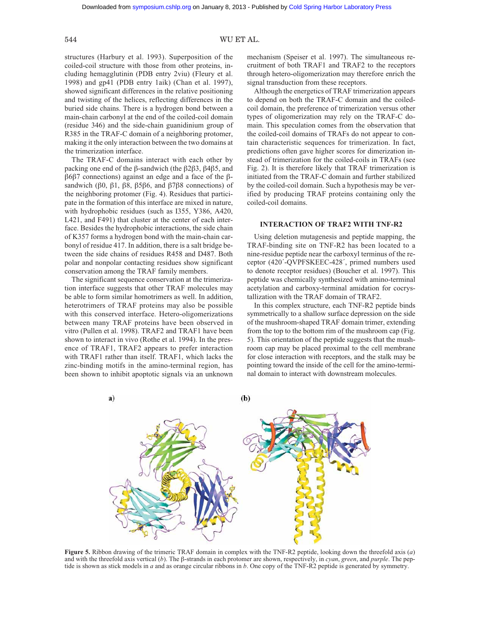# 544 WU ET AL.

structures (Harbury et al. 1993). Superposition of the coiled-coil structure with those from other proteins, including hemagglutinin (PDB entry 2viu) (Fleury et al. 1998) and gp41 (PDB entry 1aik) (Chan et al. 1997), showed significant differences in the relative positioning and twisting of the helices, reflecting differences in the buried side chains. There is a hydrogen bond between a main-chain carbonyl at the end of the coiled-coil domain (residue 346) and the side-chain guanidinium group of R385 in the TRAF-C domain of a neighboring protomer, making it the only interaction between the two domains at the trimerization interface.

The TRAF-C domains interact with each other by packing one end of the β-sandwich (the β2β3, β4β5, and β6β7 connections) against an edge and a face of the βsandwich (β0, β1, β8, β5β6, and β7β8 connections) of the neighboring protomer (Fig. 4). Residues that participate in the formation of this interface are mixed in nature, with hydrophobic residues (such as I355, Y386, A420, L421, and F491) that cluster at the center of each interface. Besides the hydrophobic interactions, the side chain of K357 forms a hydrogen bond with the main-chain carbonyl of residue 417. In addition, there is a salt bridge between the side chains of residues R458 and D487. Both polar and nonpolar contacting residues show significant conservation among the TRAF family members.

The significant sequence conservation at the trimerization interface suggests that other TRAF molecules may be able to form similar homotrimers as well. In addition, heterotrimers of TRAF proteins may also be possible with this conserved interface. Hetero-oligomerizations between many TRAF proteins have been observed in vitro (Pullen et al. 1998). TRAF2 and TRAF1 have been shown to interact in vivo (Rothe et al. 1994). In the presence of TRAF1, TRAF2 appears to prefer interaction with TRAF1 rather than itself. TRAF1, which lacks the zinc-binding motifs in the amino-terminal region, has been shown to inhibit apoptotic signals via an unknown mechanism (Speiser et al. 1997). The simultaneous recruitment of both TRAF1 and TRAF2 to the receptors through hetero-oligomerization may therefore enrich the signal transduction from these receptors.

Although the energetics of TRAF trimerization appears to depend on both the TRAF-C domain and the coiledcoil domain, the preference of trimerization versus other types of oligomerization may rely on the TRAF-C domain. This speculation comes from the observation that the coiled-coil domains of TRAFs do not appear to contain characteristic sequences for trimerization. In fact, predictions often gave higher scores for dimerization instead of trimerization for the coiled-coils in TRAFs (see Fig. 2). It is therefore likely that TRAF trimerization is initiated from the TRAF-C domain and further stabilized by the coiled-coil domain. Such a hypothesis may be verified by producing TRAF proteins containing only the coiled-coil domains.

#### **INTERACTION OF TRAF2 WITH TNF-R2**

Using deletion mutagenesis and peptide mapping, the TRAF-binding site on TNF-R2 has been located to a nine-residue peptide near the carboxyl terminus of the receptor (420´-QVPFSKEEC-428´, primed numbers used to denote receptor residues) (Boucher et al. 1997). This peptide was chemically synthesized with amino-terminal acetylation and carboxy-terminal amidation for cocrystallization with the TRAF domain of TRAF2.

In this complex structure, each TNF-R2 peptide binds symmetrically to a shallow surface depression on the side of the mushroom-shaped TRAF domain trimer, extending from the top to the bottom rim of the mushroom cap (Fig. 5). This orientation of the peptide suggests that the mushroom cap may be placed proximal to the cell membrane for close interaction with receptors, and the stalk may be pointing toward the inside of the cell for the amino-terminal domain to interact with downstream molecules.



**Figure 5.** Ribbon drawing of the trimeric TRAF domain in complex with the TNF-R2 peptide, looking down the threefold axis (*a*) and with the threefold axis vertical (*b*). The β-strands in each protomer are shown, respectively, in *cyan*, *green*, and *purple*. The peptide is shown as stick models in *a* and as orange circular ribbons in *b*. One copy of the TNF-R2 peptide is generated by symmetry.

a)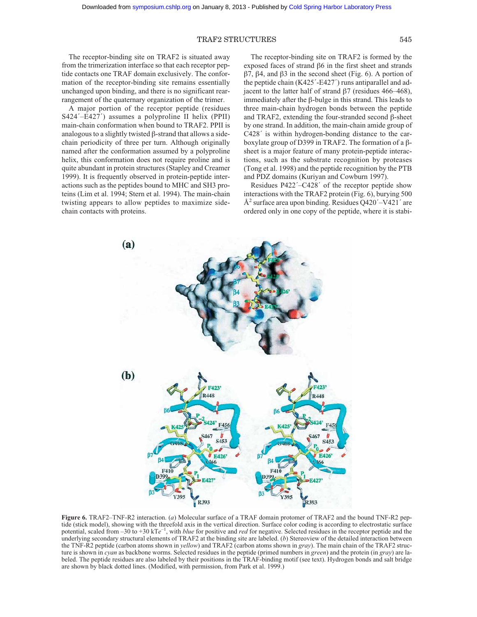The receptor-binding site on TRAF2 is situated away from the trimerization interface so that each receptor peptide contacts one TRAF domain exclusively. The conformation of the receptor-binding site remains essentially unchanged upon binding, and there is no significant rearrangement of the quaternary organization of the trimer.

A major portion of the receptor peptide (residues S424´–E427´) assumes a polyproline II helix (PPII) main-chain conformation when bound to TRAF2. PPII is analogous to a slightly twisted β-strand that allows a sidechain periodicity of three per turn. Although originally named after the conformation assumed by a polyproline helix, this conformation does not require proline and is quite abundant in protein structures (Stapley and Creamer 1999). It is frequently observed in protein-peptide interactions such as the peptides bound to MHC and SH3 proteins (Lim et al. 1994; Stern et al. 1994). The main-chain twisting appears to allow peptides to maximize sidechain contacts with proteins.

The receptor-binding site on TRAF2 is formed by the exposed faces of strand β6 in the first sheet and strands β7, β4, and β3 in the second sheet (Fig. 6). A portion of the peptide chain (K425´-E427´) runs antiparallel and adjacent to the latter half of strand β7 (residues 466–468), immediately after the β-bulge in this strand. This leads to three main-chain hydrogen bonds between the peptide and TRAF2, extending the four-stranded second β-sheet by one strand. In addition, the main-chain amide group of C428´ is within hydrogen-bonding distance to the carboxylate group of D399 in TRAF2. The formation of a βsheet is a major feature of many protein-peptide interactions, such as the substrate recognition by proteases (Tong et al. 1998) and the peptide recognition by the PTB and PDZ domains (Kuriyan and Cowburn 1997).

Residues P422´–C428´ of the receptor peptide show interactions with the TRAF2 protein (Fig. 6), burying 500  $A<sup>2</sup>$  surface area upon binding. Residues Q420'–V421' are ordered only in one copy of the peptide, where it is stabi-



**Figure 6.** TRAF2–TNF-R2 interaction. (*a*) Molecular surface of a TRAF domain protomer of TRAF2 and the bound TNF-R2 peptide (stick model), showing with the threefold axis in the vertical direction. Surface color coding is according to electrostatic surface potential, scaled from –30 to +30 kT*e*–1, with *blue* for positive and *red* for negative. Selected residues in the receptor peptide and the underlying secondary structural elements of TRAF2 at the binding site are labeled. (*b*) Stereoview of the detailed interaction between the TNF-R2 peptide (carbon atoms shown in *yellow*) and TRAF2 (carbon atoms shown in *gray*). The main chain of the TRAF2 structure is shown in *cyan* as backbone worms. Selected residues in the peptide (primed numbers in *green*) and the protein (in *gray*) are labeled. The peptide residues are also labeled by their positions in the TRAF-binding motif (see text). Hydrogen bonds and salt bridge are shown by black dotted lines. (Modified, with permission, from Park et al. 1999.)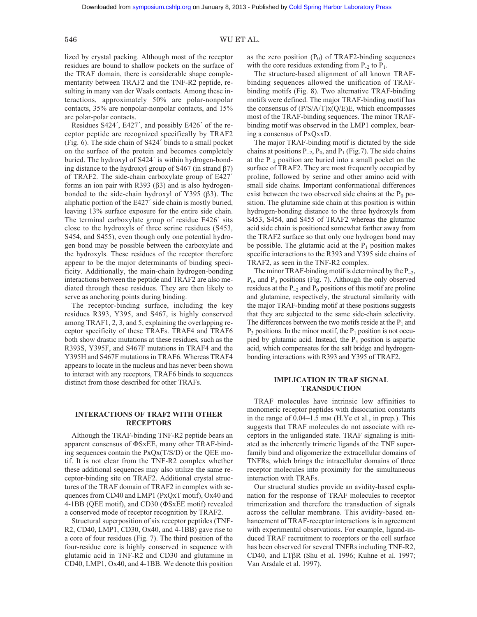# 546 WU ET AL.

lized by crystal packing. Although most of the receptor residues are bound to shallow pockets on the surface of the TRAF domain, there is considerable shape complementarity between TRAF2 and the TNF-R2 peptide, resulting in many van der Waals contacts. Among these interactions, approximately 50% are polar-nonpolar contacts, 35% are nonpolar-nonpolar contacts, and 15% are polar-polar contacts.

Residues S424´, E427´, and possibly E426´ of the receptor peptide are recognized specifically by TRAF2 (Fig. 6). The side chain of S424´ binds to a small pocket on the surface of the protein and becomes completely buried. The hydroxyl of S424´ is within hydrogen-bonding distance to the hydroxyl group of S467 (in strand β7) of TRAF2. The side-chain carboxylate group of E427´ forms an ion pair with R393 ( $\beta$ 3) and is also hydrogenbonded to the side-chain hydroxyl of Y395 (β3). The aliphatic portion of the E427´ side chain is mostly buried, leaving 13% surface exposure for the entire side chain. The terminal carboxylate group of residue E426´ sits close to the hydroxyls of three serine residues (S453, S454, and S455), even though only one potential hydrogen bond may be possible between the carboxylate and the hydroxyls. These residues of the receptor therefore appear to be the major determinants of binding specificity. Additionally, the main-chain hydrogen-bonding interactions between the peptide and TRAF2 are also mediated through these residues. They are then likely to serve as anchoring points during binding.

The receptor-binding surface, including the key residues R393, Y395, and S467, is highly conserved among TRAF1, 2, 3, and 5, explaining the overlapping receptor specificity of these TRAFs. TRAF4 and TRAF6 both show drastic mutations at these residues, such as the R393S, Y395F, and S467F mutations in TRAF4 and the Y395H and S467F mutations in TRAF6. Whereas TRAF4 appears to locate in the nucleus and has never been shown to interact with any receptors, TRAF6 binds to sequences distinct from those described for other TRAFs.

# **INTERACTIONS OF TRAF2 WITH OTHER RECEPTORS**

Although the TRAF-binding TNF-R2 peptide bears an apparent consensus of ΦSxEE, many other TRAF-binding sequences contain the PxQx(T/S/D) or the QEE motif. It is not clear from the TNF-R2 complex whether these additional sequences may also utilize the same receptor-binding site on TRAF2. Additional crystal structures of the TRAF domain of TRAF2 in complex with sequences from CD40 and LMP1 (PxQxT motif), Ox40 and 4-1BB (QEE motif), and CD30 (ΦSxEE motif) revealed a conserved mode of receptor recognition by TRAF2.

Structural superposition of six receptor peptides (TNF-R2, CD40, LMP1, CD30, Ox40, and 4-1BB) gave rise to a core of four residues (Fig. 7). The third position of the four-residue core is highly conserved in sequence with glutamic acid in TNF-R2 and CD30 and glutamine in CD40, LMP1, Ox40, and 4-1BB. We denote this position as the zero position  $(P_0)$  of TRAF2-binding sequences with the core residues extending from  $P_2$  to  $P_1$ .

The structure-based alignment of all known TRAFbinding sequences allowed the unification of TRAFbinding motifs (Fig. 8). Two alternative TRAF-binding motifs were defined. The major TRAF-binding motif has the consensus of  $(P/S/A/T)x(Q/E)E$ , which encompasses most of the TRAF-binding sequences. The minor TRAFbinding motif was observed in the LMP1 complex, bearing a consensus of PxQxxD.

The major TRAF-binding motif is dictated by the side chains at positions  $P_{-2}$ ,  $P_0$ , and  $P_1$  (Fig.7). The side chains at the  $P_{-2}$  position are buried into a small pocket on the surface of TRAF2. They are most frequently occupied by proline, followed by serine and other amino acid with small side chains. Important conformational differences exist between the two observed side chains at the  $P_0$  position. The glutamine side chain at this position is within hydrogen-bonding distance to the three hydroxyls from S453, S454, and S455 of TRAF2 whereas the glutamic acid side chain is positioned somewhat farther away from the TRAF2 surface so that only one hydrogen bond may be possible. The glutamic acid at the  $P_1$  position makes specific interactions to the R393 and Y395 side chains of TRAF2, as seen in the TNF-R2 complex.

The minor TRAF-binding motif is determined by the  $P_{-2}$ ,  $P_0$ , and  $P_3$  positions (Fig. 7). Although the only observed residues at the  $P_{-2}$  and  $P_0$  positions of this motif are proline and glutamine, respectively, the structural similarity with the major TRAF-binding motif at these positions suggests that they are subjected to the same side-chain selectivity. The differences between the two motifs reside at the  $P_1$  and  $P_3$  positions. In the minor motif, the  $P_1$  position is not occupied by glutamic acid. Instead, the  $P_3$  position is aspartic acid, which compensates for the salt bridge and hydrogenbonding interactions with R393 and Y395 of TRAF2.

### **IMPLICATION IN TRAF SIGNAL TRANSDUCTION**

TRAF molecules have intrinsic low affinities to monomeric receptor peptides with dissociation constants in the range of  $0.04-1.5$  mm (H.Ye et al., in prep.). This suggests that TRAF molecules do not associate with receptors in the unliganded state. TRAF signaling is initiated as the inherently trimeric ligands of the TNF superfamily bind and oligomerize the extracellular domains of TNFRs, which brings the intracellular domains of three receptor molecules into proximity for the simultaneous interaction with TRAFs.

Our structural studies provide an avidity-based explanation for the response of TRAF molecules to receptor trimerization and therefore the transduction of signals across the cellular membrane. This avidity-based enhancement of TRAF-receptor interactions is in agreement with experimental observations. For example, ligand-induced TRAF recruitment to receptors or the cell surface has been observed for several TNFRs including TNF-R2, CD40, and LTβR (Shu et al. 1996; Kuhne et al. 1997; Van Arsdale et al. 1997).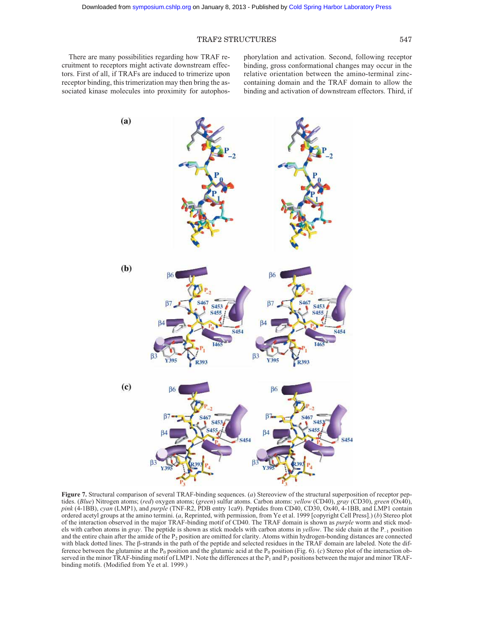There are many possibilities regarding how TRAF recruitment to receptors might activate downstream effectors. First of all, if TRAFs are induced to trimerize upon receptor binding, this trimerization may then bring the associated kinase molecules into proximity for autophosphorylation and activation. Second, following receptor binding, gross conformational changes may occur in the relative orientation between the amino-terminal zinccontaining domain and the TRAF domain to allow the binding and activation of downstream effectors. Third, if



**Figure 7.** Structural comparison of several TRAF-binding sequences. (*a*) Stereoview of the structural superposition of receptor peptides. (*Blue*) Nitrogen atoms; (*red*) oxygen atoms; (*green*) sulfur atoms. Carbon atoms: *yellow* (CD40), *gray* (CD30), *green* (Ox40), *pink* (4-1BB), *cyan* (LMP1), and *purple* (TNF-R2, PDB entry 1ca9). Peptides from CD40, CD30, Ox40, 4-1BB, and LMP1 contain ordered acetyl groups at the amino termini. (*a*, Reprinted, with permission, from Ye et al. 1999 [copyright Cell Press].) (*b*) Stereo plot of the interaction observed in the major TRAF-binding motif of CD40. The TRAF domain is shown as *purple* worm and stick models with carbon atoms in *gray*. The peptide is shown as stick models with carbon atoms in *yellow*. The side chain at the P–1 position and the entire chain after the amide of the  $P_2$  position are omitted for clarity. Atoms within hydrogen-bonding distances are connected with black dotted lines. The β-strands in the path of the peptide and selected residues in the TRAF domain are labeled. Note the difference between the glutamine at the P<sub>0</sub> position and the glutamic acid at the P<sub>0</sub> position (Fig. 6). (*c*) Stereo plot of the interaction observed in the minor TRAF-binding motif of LMP1. Note the differences at the  $\overline{P_1}$  and  $\overline{P_3}$  positions between the major and minor TRAFbinding motifs. (Modified from Ye et al. 1999.)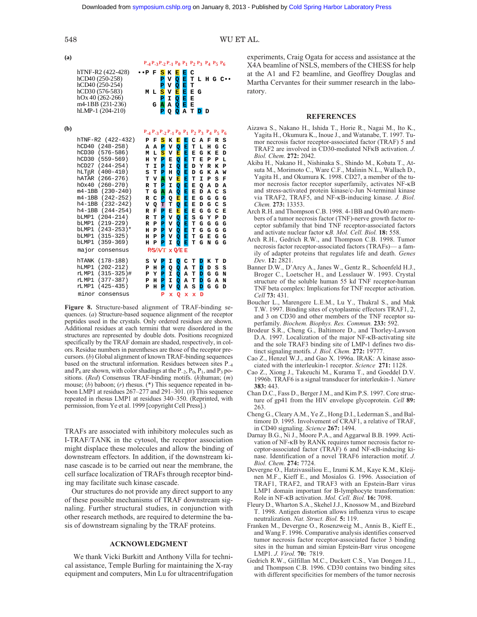| (a) |                                                                                                 |              |              |                              | $P_{-4}P_{-3}P_{-2}P_{-1}P_0P_1P_2P_3P_4P_5P_6$ |                       |                       |                        |        |        |        |                    |
|-----|-------------------------------------------------------------------------------------------------|--------------|--------------|------------------------------|-------------------------------------------------|-----------------------|-----------------------|------------------------|--------|--------|--------|--------------------|
|     | hTNF-R2 (422-428)<br>hCD40 (250-258)<br>hCD40 (250-254)<br>hCD30 (576-583)<br>$hOx 40(262-266)$ | ••P F<br>M L |              | S<br>P<br>P<br>S<br>P        | K<br>v<br>v<br>v<br>I                           | Е<br>Q<br>Q<br>Е<br>Q | Е<br>E<br>E<br>E<br>E | c<br>т<br>T<br>ЕG<br>Е |        |        |        | $L$ H G C $\cdots$ |
|     | m4-1BB (231-236)<br>$hLMP-1(204-210)$                                                           |              | G            | Α<br>P                       | А<br>Q                                          | Q<br>Q                | Ē<br>A                | E<br>т                 | D      | D      |        |                    |
| (b) |                                                                                                 |              |              |                              | $P_{-4}P_{-3}P_{-2}P_{-1}P_0P_1P_2P_3P_4P_5P_6$ |                       |                       |                        |        |        |        |                    |
|     | hTNF-R2 (422-432)                                                                               | Р            | F            | s                            | K                                               | Е                     | Е                     | с                      | A      | F      | R      | s                  |
|     | hCD40 (248-258)                                                                                 | A            | A            | P                            | v                                               | Q                     | Ē                     | T                      | L      | н      | G      | C                  |
|     | hCD30 (576-586)                                                                                 | M            | L            | s                            | v                                               | Е                     | E                     | Е                      | G      | K      | Е      | D                  |
|     | hCD30 (559-569)                                                                                 | н            | Y            | $\overline{\mathbf{P}}$      | E                                               | Q                     | E                     | т                      | Е      | P      | Р      | Ľ                  |
|     | $hCD27$ $(244-254)$                                                                             | T            | I            | P                            | I                                               | Q                     | E                     | D                      | Y      | R      | к      | P                  |
|     | $hLT\beta R$ (400-410)<br>hATAR (266-276)                                                       | s<br>T       | T<br>v       | P<br>$\overline{\mathtt{A}}$ | H<br>v                                          | Q<br>E                | E<br>E                | D<br>т                 | G<br>I | ĸ<br>P | A<br>S | W<br>F             |
|     | $(260 - 270)$<br>h0x40                                                                          | $\mathbf R$  | T            | P                            | I                                               | Q                     | E                     | Е                      | Q      | А      | D      | A                  |
|     | $m4-1BB$ (230-240)                                                                              | т            | G            | Ā                            | A                                               | Q                     | Ē                     | Е                      | D      | A      | C      | S                  |
|     | $m4-1BB$ (242-252)                                                                              | R            | C            | P                            | Q                                               | E                     | E                     | Е                      | G      | G      | G      | G                  |
|     | h4-1BB (232-242)                                                                                | v            | Q            | T                            | T                                               | Q                     | E                     | Е                      | D      | G      | C      | S                  |
|     | $h4-1BB$<br>$(244 - 254)$                                                                       | R            | F            | P                            | E                                               | E                     | E                     | Е                      | G      | G      | C      | E                  |
|     | bLMP1 (204-214)                                                                                 | R            | т            | P                            | v                                               | Q                     | E                     | S                      | G      | Y      | P      | D                  |
|     | bLMP1 (219-229)                                                                                 | R            | $\mathbf{P}$ | P                            | v                                               | Q                     | Ē                     | т                      | G      | G      | G      | G                  |
|     | bLMP1 (243-253)*                                                                                | н            | $\mathbf{P}$ | Þ                            | v                                               | Q                     | Ē                     | т                      | G      | G      | G      | G                  |
|     | bLMP1 (315-325)                                                                                 | н            | P            | P                            | v                                               | Q                     | Ē                     | т                      | G      | Е      | G      | G                  |
|     | $(359 - 369)$<br>bLMP1                                                                          | н            | P            | P                            | I                                               | Q                     | Е                     | T                      | G      | N      | G      | G                  |
|     | major<br>consensus                                                                              |              |              |                              | $P/S/A/T \times Q/E E$                          |                       |                       |                        |        |        |        |                    |
|     | $(178 - 188)$<br>hTANK                                                                          | s            | v            | P                            | I                                               | Q                     | c                     | т                      | D      | к      | т      | D                  |
|     | hLMP1<br>$(202 - 212)$                                                                          | P            | н            | P                            | Q                                               | Q                     | A                     | т                      | D      | D      | S      | s                  |
|     | $(315 - 325)$ #<br>rLMP1                                                                        | P            | Y            | P                            | I                                               | Q                     | A                     | т                      | D      | G      | G      | N                  |
|     | $(377 - 387)$<br>rLMP1                                                                          | P            | н            | P                            | I                                               | Q                     | А                     | т                      | D      | G      | Α      | N                  |
|     | $(425 - 435)$<br>rLMP1                                                                          | P            | H            | P                            | v                                               | Q                     | Α                     | s                      | D      | G      | G      | D                  |
|     | minor<br>consensus                                                                              |              |              | P                            | x                                               | Q                     | x                     | x                      | D      |        |        |                    |

**Figure 8.** Structure-based alignment of TRAF-binding sequences. (*a*) Structure-based sequence alignment of the receptor peptides used in the crystals. Only ordered residues are shown. Additional residues at each termini that were disordered in the structures are represented by double dots. Positions recognized specifically by the TRAF domain are shaded, respectively, in colors. Residue numbers in parentheses are those of the receptor precursors. (*b*) Global alignment of known TRAF-binding sequences based on the structural information. Residues between sites P–4 and  $P_6$  are shown, with color shadings at the  $P_{-2}$ ,  $P_0$ ,  $P_1$ , and  $P_3$  positions. (*Red*) Consensus TRAF-binding motifs. (*h*)human; (*m*) mouse; (b) baboon; (r) rhesus. (\*) This sequence repeated in baboon LMP1 at residues 267–277 and 291–301. (#) This sequence repeated in rhesus LMP1 at residues 340–350. (Reprinted, with permission, from Ye et al. 1999 [copyright Cell Press].)

TRAFs are associated with inhibitory molecules such as I-TRAF/TANK in the cytosol, the receptor association might displace these molecules and allow the binding of downstream effectors. In addition, if the downstream kinase cascade is to be carried out near the membrane, the cell surface localization of TRAFs through receptor binding may facilitate such kinase cascade.

Our structures do not provide any direct support to any of these possible mechanisms of TRAF downstream signaling. Further structural studies, in conjunction with other research methods, are required to determine the basis of downstream signaling by the TRAF proteins.

# **ACKNOWLEDGMENT**

We thank Vicki Burkitt and Anthony Villa for technical assistance, Temple Burling for maintaining the X-ray equipment and computers, Min Lu for ultracentrifugation experiments, Craig Ogata for access and assistance at the

X4A beamline of NSLS, members of the CHESS for help at the A1 and F2 beamline, and Geoffrey Douglas and Martha Cervantes for their summer research in the laboratory.

#### **REFERENCES**

- Aizawa S., Nakano H., Ishida T., Horie R., Nagai M., Ito K., Yagita H., Okumura K., Inoue J., and Watanabe, T. 1997. Tumor necrosis factor receptor-associated factor (TRAF) 5 and TRAF2 are involved in CD30-mediated NFκB activation. *J. Biol. Chem.* **272:** 2042.
- Akiba H., Nakano H., Nishinaka S., Shindo M., Kobata T., Atsuta M., Morimoto C., Ware C.F., Malinin N.L., Wallach D., Yagita H., and Okumura K. 1998. CD27, a member of the tumor necrosis factor receptor superfamily, activates NF-κB and stress-activated protein kinase/c-Jun N-terminal kinase via TRAF2, TRAF5, and NF-κB-inducing kinase. *J. Biol. Chem.* **273:** 13353.
- Arch R.H. and Thompson C.B. 1998. 4-1BB and Ox40 are members of a tumor necrosis factor (TNF)-nerve growth factor receptor subfamily that bind TNF receptor-associated factors and activate nuclear factor κ*B. Mol. Cell. Biol.* **18:** 558.
- Arch R.H., Gedrich R.W., and Thompson C.B. 1998. Tumor necrosis factor receptor-associated factors (TRAFs)— a family of adapter proteins that regulates life and death. *Genes Dev.* **12:** 2821.
- Banner D.W., D'Arcy A., Janes W., Gentz R., Schoenfeld H.J., Broger C., Loetscher H., and Lesslauer W. 1993. Crystal structure of the soluble human 55 kd TNF receptor-human TNF beta complex: Implications for TNF receptor activation. *Cell* **73:** 431.
- Boucher L., Marengere L.E.M., Lu Y., Thukral S., and Mak T.W. 1997. Binding sites of cytoplasmic effectors TRAF1, 2, and 3 on CD30 and other members of the TNF receptor superfamily. *Biochem. Biophys. Res. Commun.* **233:** 592.
- Brodeur S.R., Cheng G., Baltimore D., and Thorley-Lawson D.A. 1997. Localization of the major NF-κB-activating site and the sole TRAF3 binding site of LMP-1 defines two distinct signaling motifs. *J. Biol. Chem.* **272:** 19777.
- Cao Z., Henzel W.J., and Gao X. 1996a. IRAK: A kinase associated with the interleukin-1 receptor. *Science* **271:** 1128.
- Cao Z., Xiong J., Takeuchi M., Kurama T., and Goeddel D.V. 1996b. TRAF6 is a signal transducer for interleukin-1. *Nature* **383:** 443.
- Chan D.C., Fass D., Berger J.M., and Kim P.S. 1997. Core structure of gp41 from the HIV envelope glycoprotein. *Cell* **89:** 263.
- Cheng G., Cleary A.M., Ye Z., Hong D.I., Lederman S., and Baltimore D. 1995. Involvement of CRAF1, a relative of TRAF, in CD40 signaling. *Science* **267:** 1494.
- Darnay B.G., Ni J., Moore P.A., and Aggarwal B.B. 1999. Activation of NF-κB by RANK requires tumor necrosis factor receptor-associated factor (TRAF) 6 and NF-κB-inducing kinase. Identification of a novel TRAF6 interaction motif. *J. Biol. Chem.* **274:** 7724.
- Devergne O., Hatzivassiliou E., Izumi K.M., Kaye K.M., Kleijnen M.F., Kieff E., and Mosialos G. 1996. Association of TRAF1, TRAF2, and TRAF3 with an Epstein-Barr virus LMP1 domain important for B-lymphocyte transformation: Role in NF-κB activation. *Mol. Cell. Biol.* **16:** 7098.
- Fleury D., Wharton S.A., Skehel J.J., Knossow M., and Bizebard T. 1998. Antigen distortion allows influenza virus to escape neutralization. *Nat. Struct. Biol.* **5:** 119.
- Franken M., Devergne O., Rosenzweig M., Annis B., Kieff E., and Wang F. 1996. Comparative analysis identifies conserved tumor necrosis factor receptor-associated factor 3 binding sites in the human and simian Epstein-Barr virus oncogene LMP1. *J. Virol.* **70:** 7819.
- Gedrich R.W., Gilfillan M.C., Duckett C.S., Van Dongen J.L., and Thompson C.B. 1996. CD30 contains two binding sites with different specificities for members of the tumor necrosis

548 WU ET AL.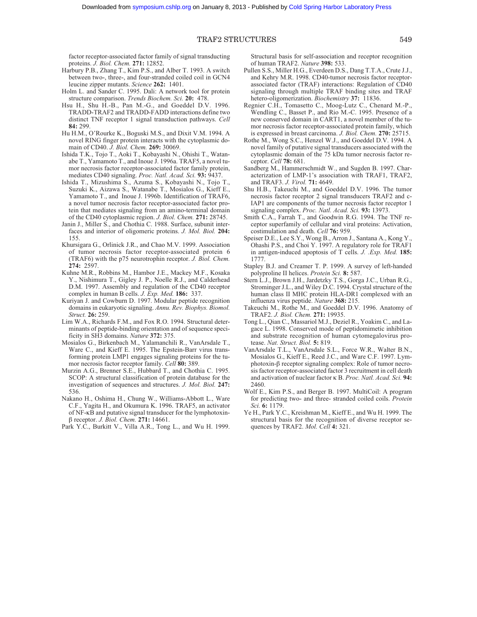factor receptor-associated factor family of signal transducting proteins. *J. Biol. Chem.* **271:** 12852.

- Harbury P.B., Zhang T., Kim P.S., and Alber T. 1993. A switch between two-, three-, and four-stranded coiled coil in GCN4 leucine zipper mutants. *Science* **262:** 1401.
- Holm L. and Sander C. 1995. Dali: A network tool for protein structure comparison. *Trends Biochem. Sci.* **20:** 478.
- Hsu H., Shu H.-B., Pan M.-G., and Goeddel D.V. 1996. TRADD-TRAF2 and TRADD-FADD interactions define two distinct TNF receptor 1 signal transduction pathways. *Cell* **84:** 299.
- Hu H.M., O'Rourke K., Boguski M.S., and Dixit V.M. 1994. A novel RING finger protein interacts with the cytoplasmic domain of CD40. *J. Biol. Chem.* **269:** 30069.
- Ishida T.K., Tojo T., Aoki T., Kobayashi N., Ohishi T., Watanabe T., Yamamoto T., and Inoue J. 1996a. TRAF5, a novel tumor necrosis factor receptor-associated factor family protein, mediates CD40 signaling. *Proc. Natl. Acad. Sci.* **93:** 9437.
- Ishida T., Mizushima S., Azuma S., Kobayashi N., Tojo T., Suzuki K., Aizawa S., Watanabe T., Mosialos G., Kieff E., Yamamoto T., and Inoue J. 1996b. Identification of TRAF6, a novel tumor necrosis factor receptor-associated factor protein that mediates signaling from an amino-terminal domain of the CD40 cytoplasmic region. *J. Biol. Chem.* **271:** 28745.
- Janin J., Miller S., and Chothia C. 1988. Surface, subunit interfaces and interior of oligomeric proteins. *J. Mol. Biol.* **204:** 155.
- Khursigara G., Orlinick J.R., and Chao M.V. 1999. Association of tumor necrosis factor receptor-associated protein 6 (TRAF6) with the p75 neurotrophin receptor. *J. Biol. Chem.* **274:** 2597.
- Kuhne M.R., Robbins M., Hambor J.E., Mackey M.F., Kosaka Y., Nishimura T., Gigley J. P., Noelle R.J., and Calderhead D.M. 1997. Assembly and regulation of the CD40 receptor complex in human B cells. *J. Exp. Med.* **186:** 337.
- Kuriyan J. and Cowburn D. 1997. Modular peptide recognition domains in eukaryotic signaling. *Annu. Rev. Biophys. Biomol. Struct.* **26:** 259.
- Lim W.A., Richards F.M., and Fox R.O. 1994. Structural determinants of peptide-binding orientation and of sequence specificity in SH3 domains. *Nature* **372:** 375.
- Mosialos G., Birkenbach M., Yalamanchili R., VanArsdale T., Ware C., and Kieff E. 1995. The Epstein-Barr virus transforming protein LMP1 engages signaling proteins for the tumor necrosis factor receptor family. *Cell* **80:** 389.
- Murzin A.G., Brenner S.E., Hubbard T., and Chothia C. 1995. SCOP: A structural classification of protein database for the investigation of sequences and structures. *J. Mol. Biol.* **247:** 536.
- Nakano H., Oshima H., Chung W., Williams-Abbott L., Ware C.F., Yagita H., and Okumura K. 1996. TRAF5, an activator of NF-κB and putative signal transducer for the lymphotoxinβ receptor. *J. Biol. Chem.* **271:** 14661.
- Park Y.C., Burkitt V., Villa A.R., Tong L., and Wu H. 1999.

Structural basis for self-association and receptor recognition of human TRAF2. *Nature* **398:** 533.

- Pullen S.S., Miller H.G., Everdeen D.S., Dang T.T.A., Crute J.J., and Kehry M.R. 1998. CD40-tumor necrosis factor receptorassociated factor (TRAF) interactions: Regulation of CD40 signaling through multiple TRAF binding sites and TRAF hetero-oligomerization. *Biochemistry* **37:** 11836.
- Regnier C.H., Tomasetto C., Moog-Lutz C., Chenard M.-P., Wendling C., Basset P., and Rio M.-C. 1995. Presence of a new conserved domain in CART1, a novel member of the tumor necrosis factor receptor-associated protein family, which is expressed in breast carcinoma. *J. Biol. Chem.* **270:** 25715.
- Rothe M., Wong S.C., Henzel W.J., and Goeddel D.V. 1994. A novel family of putative signal transducers associated with the cytoplasmic domain of the 75 kDa tumor necrosis factor receptor. *Cell* **78:** 681.
- Sandberg M., Hammerschmidt W., and Sugden B. 1997. Characterization of LMP-1's association with TRAF1, TRAF2, and TRAF3. *J. Virol.* **71:** 4649.
- Shu H.B., Takeuchi M., and Goeddel D.V. 1996. The tumor necrosis factor receptor 2 signal transducers TRAF2 and c-IAP1 are components of the tumor necrosis factor receptor 1 signaling complex. *Proc. Natl. Acad. Sci.* **93:** 13973.
- Smith C.A., Farrah T., and Goodwin R.G. 1994. The TNF receptor superfamily of cellular and viral proteins: Activation, costimulation and death. *Cell* **76:** 959.
- Speiser D.E., Lee S.Y., Wong B., Arron J., Santana A., Kong Y., Ohashi P.S., and Choi Y. 1997. A regulatory role for TRAF1 in antigen-induced apoptosis of T cells. *J. .Exp. Med.* **185:** 1777.
- Stapley B.J. and Creamer T. P. 1999. A survey of left-handed polyproline II helices. *Protein Sci.* **8:** 587.
- Stern L.J., Brown J.H., Jardetzky T.S., Gorga J.C., Urban R.G., Strominger J.L., and Wiley D.C. 1994. Crystal structure of the human class II MHC protein HLA-DR1 complexed with an influenza virus peptide. *Nature* **368:** 215.
- Takeuchi M., Rothe M., and Goeddel D.V. 1996. Anatomy of TRAF2. *J. Biol. Chem.* **271:** 19935.
- Tong L., Qian C., Massariol M.J., Deziel R., Yoakim C., and Lagace L. 1998. Conserved mode of peptidomimetic inhibition and substrate recognition of human cytomegalovirus protease. *Nat. Struct. Biol.* **5:** 819.
- VanArsdale T.L., VanArsdale S.L., Force W.R., Walter B.N., Mosialos G., Kieff E., Reed J.C., and Ware C.F. 1997. Lymphotoxin-β receptor signaling complex: Role of tumor necrosis factor receptor-associated factor 3 recruitment in cell death and activation of nuclear factor κ B. *Proc. Natl. Acad. Sci.* **94:** 2460.
- Wolf E., Kim P.S., and Berger B. 1997. MultiCoil: A program for predicting two- and three- stranded coiled coils. *Protein Sci.* **6:** 1179.
- Ye H., Park Y.C., Kreishman M., Kieff E., and Wu H. 1999. The structural basis for the recognition of diverse receptor sequences by TRAF2. *Mol. Cell* **4:** 321.